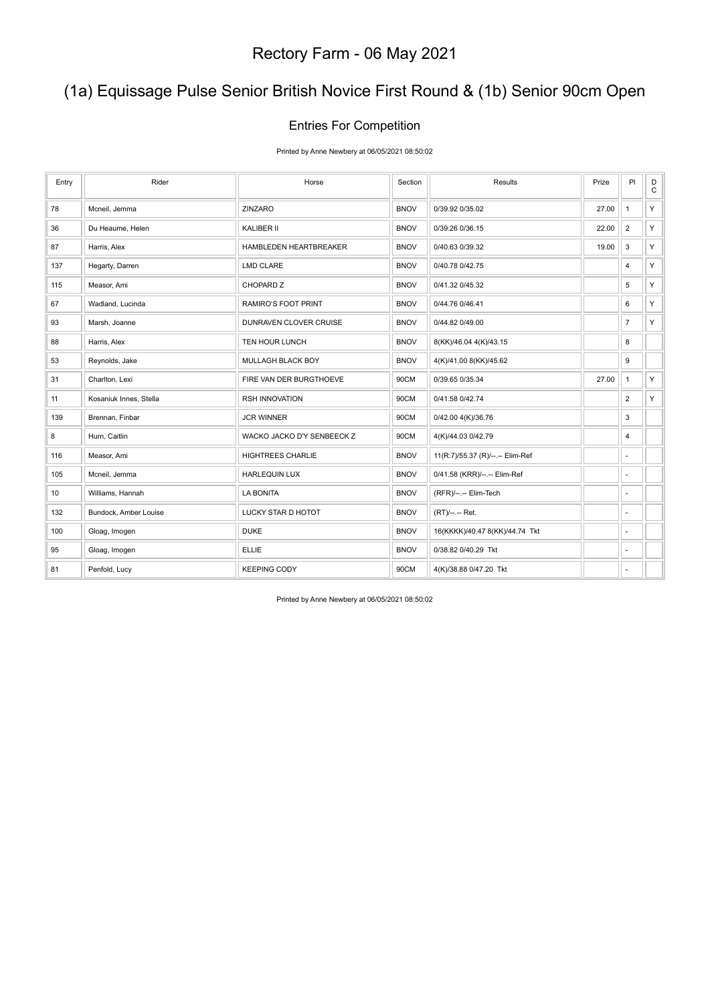## (1a) Equissage Pulse Senior British Novice First Round & (1b) Senior 90cm Open

### Entries For Competition

Printed by Anne Newbery at 06/05/2021 08:50:02

| Entry | Rider                  | Horse                      | Section     | <b>Results</b>                   | Prize | PI                        | D<br>$\mathsf{C}$ |
|-------|------------------------|----------------------------|-------------|----------------------------------|-------|---------------------------|-------------------|
| 78    | Mcneil, Jemma          | ZINZARO                    | <b>BNOV</b> | 0/39.92 0/35.02                  | 27.00 | $\mathbf{1}$              | Y.                |
| 36    | Du Heaume, Helen       | KALIBER II                 | <b>BNOV</b> | 0/39.26 0/36.15                  | 22.00 | $\overline{c}$            | Y.                |
| 87    | Harris, Alex           | HAMBLEDEN HEARTBREAKER     | <b>BNOV</b> | 0/40.63 0/39.32                  | 19.00 | $\ensuremath{\mathsf{3}}$ | Y                 |
| 137   | Hegarty, Darren        | <b>LMD CLARE</b>           | <b>BNOV</b> | 0/40.78 0/42.75                  |       | $\overline{4}$            | Y                 |
| 115   | Measor, Ami            | CHOPARD Z                  | <b>BNOV</b> | 0/41.32 0/45.32                  |       | 5                         | Y                 |
| 67    | Wadland, Lucinda       | RAMIRO'S FOOT PRINT        | <b>BNOV</b> | 0/44.76 0/46.41                  |       | 6                         | Y.                |
| 93    | Marsh, Joanne          | DUNRAVEN CLOVER CRUISE     | <b>BNOV</b> | 0/44.82 0/49.00                  |       | $\overline{7}$            | Y                 |
| 88    | Harris, Alex           | TEN HOUR LUNCH             | <b>BNOV</b> | 8(KK)/46.04 4(K)/43.15           |       | 8                         |                   |
| 53    | Reynolds, Jake         | MULLAGH BLACK BOY          | <b>BNOV</b> | 4(K)/41.00 8(KK)/45.62           |       | 9                         |                   |
| 31    | Charlton, Lexi         | FIRE VAN DER BURGTHOEVE    | 90CM        | 0/39.65 0/35.34                  | 27.00 | $\mathbf{1}$              | Y.                |
| 11    | Kosaniuk Innes, Stella | <b>RSH INNOVATION</b>      | 90CM        | 0/41.58 0/42.74                  |       | $\overline{2}$            | Y.                |
| 139   | Brennan, Finbar        | <b>JCR WINNER</b>          | 90CM        | 0/42.00 4(K)/36.76               |       | 3                         |                   |
| 8     | Hurn, Caitlin          | WACKO JACKO D'Y SENBEECK Z | 90CM        | 4(K)/44.03 0/42.79               |       | 4                         |                   |
| 116   | Measor, Ami            | <b>HIGHTREES CHARLIE</b>   | <b>BNOV</b> | 11(R:7)/55.37 (R)/--.-- Elim-Ref |       | $\sim$                    |                   |
| 105   | Mcneil, Jemma          | <b>HARLEQUIN LUX</b>       | <b>BNOV</b> | 0/41.58 (KRR)/--.-- Elim-Ref     |       | $\overline{\phantom{a}}$  |                   |
| 10    | Williams, Hannah       | <b>LA BONITA</b>           | <b>BNOV</b> | (RFR)/--.-- Elim-Tech            |       | $\sim$                    |                   |
| 132   | Bundock, Amber Louise  | LUCKY STAR D HOTOT         | <b>BNOV</b> | (RT)/--.-- Ret.                  |       | $\overline{\phantom{a}}$  |                   |
| 100   | Gloag, Imogen          | <b>DUKE</b>                | <b>BNOV</b> | 16(KKKK)/40.47 8(KK)/44.74 Tkt   |       | ä,                        |                   |
| 95    | Gloag, Imogen          | <b>ELLIE</b>               | <b>BNOV</b> | 0/38.82 0/40.29 Tkt              |       | $\overline{\phantom{a}}$  |                   |
| 81    | Penfold, Lucy          | <b>KEEPING CODY</b>        | 90CM        | 4(K)/38.88 0/47.20 Tkt           |       |                           |                   |

Printed by Anne Newbery at 06/05/2021 08:50:02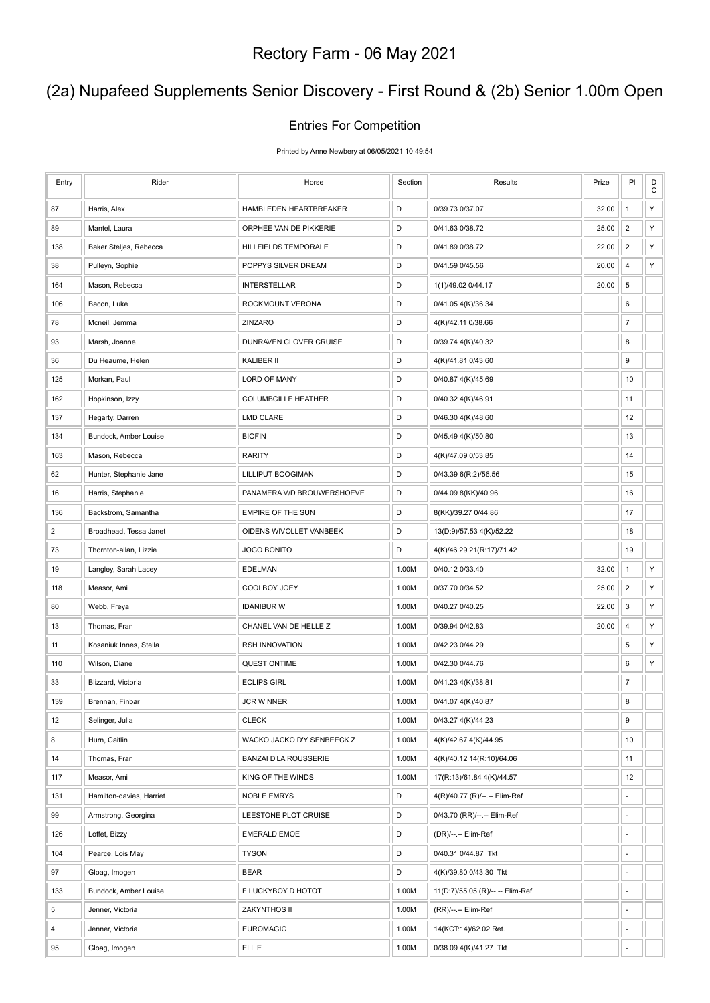# (2a) Nupafeed Supplements Senior Discovery - First Round & (2b) Senior 1.00m Open

### Entries For Competition

Printed by Anne Newbery at 06/05/2021 10:49:54

| Entry          | Rider                    | Horse                      | Section | Results                          | Prize | P <sub>1</sub>            | D<br>$\mathbf C$ |
|----------------|--------------------------|----------------------------|---------|----------------------------------|-------|---------------------------|------------------|
| 87             | Harris, Alex             | HAMBLEDEN HEARTBREAKER     | D       | 0/39.73 0/37.07                  | 32.00 | $\mathbf{1}$              | Υ                |
| 89             | Mantel, Laura            | ORPHEE VAN DE PIKKERIE     | D       | 0/41.63 0/38.72                  | 25.00 | $\overline{2}$            | Υ                |
| 138            | Baker Steljes, Rebecca   | HILLFIELDS TEMPORALE       | D       | 0/41.89 0/38.72                  | 22.00 | $\overline{2}$            | Υ                |
| 38             | Pulleyn, Sophie          | POPPYS SILVER DREAM        | D       | 0/41.59 0/45.56                  | 20.00 | $\overline{4}$            | Υ                |
| 164            | Mason, Rebecca           | <b>INTERSTELLAR</b>        | D       | 1(1)/49.02 0/44.17               | 20.00 | 5                         |                  |
| 106            | Bacon, Luke              | ROCKMOUNT VERONA           | D       | 0/41.05 4(K)/36.34               |       | 6                         |                  |
| 78             | Mcneil, Jemma            | ZINZARO                    | D       | 4(K)/42.11 0/38.66               |       | $\overline{\mathfrak{c}}$ |                  |
| 93             | Marsh, Joanne            | DUNRAVEN CLOVER CRUISE     | D       | 0/39.74 4(K)/40.32               |       | 8                         |                  |
| 36             | Du Heaume, Helen         | KALIBER II                 | D       | 4(K)/41.81 0/43.60               |       | 9                         |                  |
| 125            | Morkan, Paul             | LORD OF MANY               | D       | 0/40.87 4(K)/45.69               |       | 10                        |                  |
| 162            | Hopkinson, Izzy          | <b>COLUMBCILLE HEATHER</b> | D       | 0/40.32 4(K)/46.91               |       | 11                        |                  |
| 137            | Hegarty, Darren          | <b>LMD CLARE</b>           | D       | 0/46.30 4(K)/48.60               |       | 12                        |                  |
| 134            | Bundock, Amber Louise    | <b>BIOFIN</b>              | D       | 0/45.49 4(K)/50.80               |       | 13                        |                  |
| 163            | Mason, Rebecca           | <b>RARITY</b>              | D       | 4(K)/47.09 0/53.85               |       | 14                        |                  |
| 62             | Hunter, Stephanie Jane   | <b>LILLIPUT BOOGIMAN</b>   | D       | 0/43.39 6(R:2)/56.56             |       | 15                        |                  |
| 16             | Harris, Stephanie        | PANAMERA V/D BROUWERSHOEVE | D       | 0/44.09 8(KK)/40.96              |       | 16                        |                  |
| 136            | Backstrom, Samantha      | EMPIRE OF THE SUN          | D       | 8(KK)/39.27 0/44.86              |       | 17                        |                  |
| $\overline{2}$ | Broadhead, Tessa Janet   | OIDENS WIVOLLET VANBEEK    | D       | 13(D:9)/57.53 4(K)/52.22         |       | 18                        |                  |
| 73             | Thornton-allan, Lizzie   | <b>JOGO BONITO</b>         | D       | 4(K)/46.29 21(R:17)/71.42        |       | 19                        |                  |
| 19             | Langley, Sarah Lacey     | <b>EDELMAN</b>             | 1.00M   | 0/40.12 0/33.40                  | 32.00 | $\mathbf{1}$              | Υ                |
| 118            | Measor, Ami              | COOLBOY JOEY               | 1.00M   | 0/37.70 0/34.52                  | 25.00 | $\overline{2}$            | Υ                |
| 80             | Webb, Freya              | <b>IDANIBUR W</b>          | 1.00M   | 0/40.27 0/40.25                  | 22.00 | $\mathbf{3}$              | Υ                |
| 13             | Thomas, Fran             | CHANEL VAN DE HELLE Z      | 1.00M   | 0/39.94 0/42.83                  | 20.00 | $\overline{4}$            | Υ                |
| 11             | Kosaniuk Innes, Stella   | <b>RSH INNOVATION</b>      | 1.00M   | 0/42.23 0/44.29                  |       | 5                         | Υ                |
| 110            | Wilson, Diane            | QUESTIONTIME               | 1.00M   | 0/42.30 0/44.76                  |       | 6                         | Υ                |
| 33             | Blizzard, Victoria       | <b>ECLIPS GIRL</b>         | 1.00M   | 0/41.23 4(K)/38.81               |       | $\overline{\mathfrak{c}}$ |                  |
| 139            | Brennan, Finbar          | <b>JCR WINNER</b>          | 1.00M   | 0/41.07 4(K)/40.87               |       | 8                         |                  |
| 12             | Selinger, Julia          | <b>CLECK</b>               | 1.00M   | 0/43.27 4(K)/44.23               |       | 9                         |                  |
| 8              | Hurn, Caitlin            | WACKO JACKO D'Y SENBEECK Z | 1.00M   | 4(K)/42.67 4(K)/44.95            |       | 10                        |                  |
| 14             | Thomas, Fran             | BANZAI D'LA ROUSSERIE      | 1.00M   | 4(K)/40.12 14(R:10)/64.06        |       | 11                        |                  |
| 117            | Measor, Ami              | KING OF THE WINDS          | 1.00M   | 17(R:13)/61.84 4(K)/44.57        |       | 12                        |                  |
| 131            | Hamilton-davies, Harriet | <b>NOBLE EMRYS</b>         | D       | 4(R)/40.77 (R)/-- .-- Elim-Ref   |       | ä,                        |                  |
| 99             | Armstrong, Georgina      | LEESTONE PLOT CRUISE       | D       | 0/43.70 (RR)/--.-- Elim-Ref      |       | ÷                         |                  |
| 126            | Loffet, Bizzy            | <b>EMERALD EMOE</b>        | D       | (DR)/--.-- Elim-Ref              |       | ä,                        |                  |
| 104            | Pearce, Lois May         | <b>TYSON</b>               | D       | 0/40.31 0/44.87 Tkt              |       |                           |                  |
| 97             | Gloag, Imogen            | <b>BEAR</b>                | D       | 4(K)/39.80 0/43.30 Tkt           |       | ä,                        |                  |
| 133            | Bundock, Amber Louise    | F LUCKYBOY D HOTOT         | 1.00M   | 11(D:7)/55.05 (R)/--.-- Elim-Ref |       | $\blacksquare$            |                  |
| 5              | Jenner, Victoria         | ZAKYNTHOS II               | 1.00M   | (RR)/--.-- Elim-Ref              |       | ä,                        |                  |
| 4              | Jenner, Victoria         | <b>EUROMAGIC</b>           | 1.00M   | 14(KCT:14)/62.02 Ret.            |       | L,                        |                  |
| 95             | Gloag, Imogen            | <b>ELLIE</b>               | 1.00M   | 0/38.09 4(K)/41.27 Tkt           |       |                           |                  |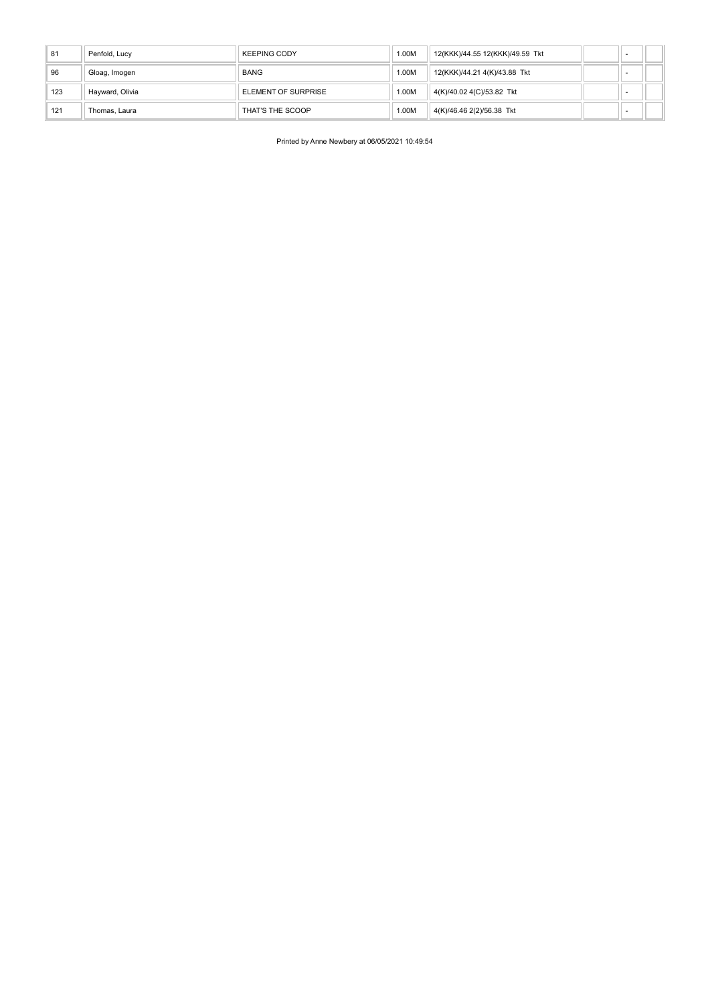| 81  | Penfold, Lucy   | <b>KEEPING CODY</b>        | 1.00M | 12(KKK)/44.55 12(KKK)/49.59 Tkt |  |  |
|-----|-----------------|----------------------------|-------|---------------------------------|--|--|
| 96  | Gloag, Imogen   | <b>BANG</b>                | 1.00M | 12(KKK)/44.21 4(K)/43.88 Tkt    |  |  |
| 123 | Hayward, Olivia | <b>ELEMENT OF SURPRISE</b> | 1.00M | 4(K)/40.02 4(C)/53.82 Tkt       |  |  |
| 121 | Thomas, Laura   | THAT'S THE SCOOP           | 1.00M | 4(K)/46.46 2(2)/56.38 Tkt       |  |  |

Printed by Anne Newbery at 06/05/2021 10:49:54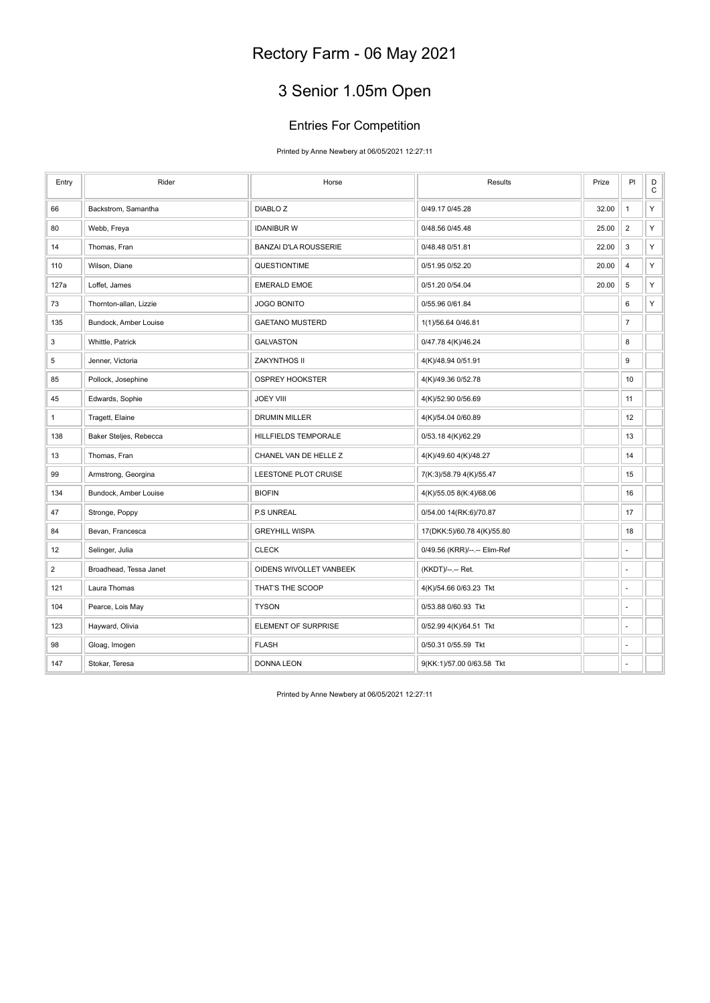# 3 Senior 1.05m Open

### Entries For Competition

Printed by Anne Newbery at 06/05/2021 12:27:11

| Entry          | Rider                  | Horse                        | <b>Results</b>               | Prize | PI               | $_{\rm C}^{\rm D}$ |
|----------------|------------------------|------------------------------|------------------------------|-------|------------------|--------------------|
| 66             | Backstrom, Samantha    | DIABLO Z                     | 0/49.17 0/45.28              | 32.00 | $\mathbf{1}$     | Y                  |
| 80             | Webb, Freya            | <b>IDANIBUR W</b>            | 0/48.56 0/45.48              | 25.00 | $\overline{c}$   | Υ                  |
| 14             | Thomas, Fran           | <b>BANZAI D'LA ROUSSERIE</b> | 0/48.48 0/51.81              | 22.00 | 3                | Υ                  |
| 110            | Wilson, Diane          | QUESTIONTIME                 | 0/51.95 0/52.20              | 20.00 | $\pmb{4}$        | Y                  |
| 127a           | Loffet, James          | <b>EMERALD EMOE</b>          | 0/51.20 0/54.04              | 20.00 | 5                | Υ                  |
| 73             | Thornton-allan, Lizzie | <b>JOGO BONITO</b>           | 0/55.96 0/61.84              |       | 6                | Υ                  |
| 135            | Bundock, Amber Louise  | <b>GAETANO MUSTERD</b>       | 1(1)/56.64 0/46.81           |       | $\boldsymbol{7}$ |                    |
| 3              | Whittle, Patrick       | <b>GALVASTON</b>             | 0/47.78 4(K)/46.24           |       | 8                |                    |
| 5              | Jenner, Victoria       | ZAKYNTHOS II                 | 4(K)/48.94 0/51.91           |       | 9                |                    |
| 85             | Pollock, Josephine     | <b>OSPREY HOOKSTER</b>       | 4(K)/49.36 0/52.78           |       | 10               |                    |
| 45             | Edwards, Sophie        | <b>JOEY VIII</b>             | 4(K)/52.90 0/56.69           |       | 11               |                    |
| $\mathbf{1}$   | Tragett, Elaine        | <b>DRUMIN MILLER</b>         | 4(K)/54.04 0/60.89           |       | 12               |                    |
| 138            | Baker Steljes, Rebecca | HILLFIELDS TEMPORALE         | 0/53.18 4(K)/62.29           |       | 13               |                    |
| 13             | Thomas, Fran           | CHANEL VAN DE HELLE Z        | 4(K)/49.60 4(K)/48.27        |       | 14               |                    |
| 99             | Armstrong, Georgina    | LEESTONE PLOT CRUISE         | 7(K:3)/58.79 4(K)/55.47      |       | 15               |                    |
| 134            | Bundock, Amber Louise  | <b>BIOFIN</b>                | 4(K)/55.05 8(K:4)/68.06      |       | 16               |                    |
| 47             | Stronge, Poppy         | P.S UNREAL                   | 0/54.00 14(RK:6)/70.87       |       | 17               |                    |
| 84             | Bevan, Francesca       | <b>GREYHILL WISPA</b>        | 17(DKK:5)/60.78 4(K)/55.80   |       | 18               |                    |
| 12             | Selinger, Julia        | <b>CLECK</b>                 | 0/49.56 (KRR)/--.-- Elim-Ref |       | ä,               |                    |
| $\overline{2}$ | Broadhead, Tessa Janet | OIDENS WIVOLLET VANBEEK      | (KKDT)/--.-- Ret.            |       | ä,               |                    |
| 121            | Laura Thomas           | THAT'S THE SCOOP             | 4(K)/54.66 0/63.23 Tkt       |       | ÷,               |                    |
| 104            | Pearce, Lois May       | <b>TYSON</b>                 | 0/53.88 0/60.93 Tkt          |       | ÷,               |                    |
| 123            | Hayward, Olivia        | ELEMENT OF SURPRISE          | 0/52.99 4(K)/64.51 Tkt       |       | ÷,               |                    |
| 98             | Gloag, Imogen          | <b>FLASH</b>                 | 0/50.31 0/55.59 Tkt          |       | ä,               |                    |
| 147            | Stokar, Teresa         | <b>DONNA LEON</b>            | 9(KK:1)/57.00 0/63.58 Tkt    |       | ä,               |                    |

Printed by Anne Newbery at 06/05/2021 12:27:11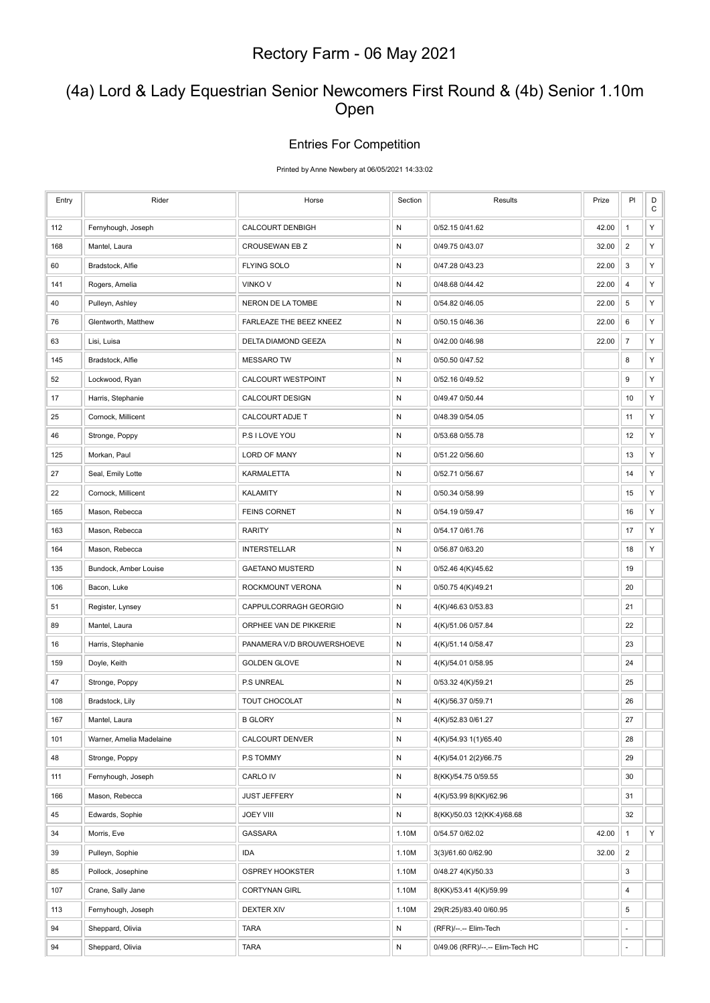### (4a) Lord & Lady Equestrian Senior Newcomers First Round & (4b) Senior 1.10m Open

### Entries For Competition

#### Printed by Anne Newbery at 06/05/2021 14:33:02

| Entry | Rider                    | Horse                      | Section   | Results                          | Prize | PI                      | D<br>${\bf C}$ |
|-------|--------------------------|----------------------------|-----------|----------------------------------|-------|-------------------------|----------------|
| 112   | Fernyhough, Joseph       | CALCOURT DENBIGH           | ${\sf N}$ | 0/52.15 0/41.62                  | 42.00 | $\mathbf{1}$            | Y              |
| 168   | Mantel, Laura            | <b>CROUSEWAN EB Z</b>      | N         | 0/49.75 0/43.07                  | 32.00 | $\overline{2}$          | Y              |
| 60    | Bradstock, Alfie         | <b>FLYING SOLO</b>         | ${\sf N}$ | 0/47.28 0/43.23                  | 22.00 | 3                       | Y              |
| 141   | Rogers, Amelia           | <b>VINKO V</b>             | N         | 0/48.68 0/44.42                  | 22.00 | $\overline{4}$          | Y              |
| 40    | Pulleyn, Ashley          | NERON DE LA TOMBE          | N         | 0/54.82 0/46.05                  | 22.00 | 5                       | Y              |
| 76    | Glentworth, Matthew      | FARLEAZE THE BEEZ KNEEZ    | ${\sf N}$ | 0/50.15 0/46.36                  | 22.00 | 6                       | Y              |
| 63    | Lisi, Luisa              | DELTA DIAMOND GEEZA        | N         | 0/42.00 0/46.98                  | 22.00 | $\overline{7}$          | Y              |
| 145   | Bradstock, Alfie         | <b>MESSARO TW</b>          | N         | 0/50.50 0/47.52                  |       | 8                       | Y              |
| 52    | Lockwood, Ryan           | CALCOURT WESTPOINT         | ${\sf N}$ | 0/52.16 0/49.52                  |       | 9                       | Y              |
| 17    | Harris, Stephanie        | CALCOURT DESIGN            | N         | 0/49.47 0/50.44                  |       | 10                      | Y              |
| 25    | Cornock, Millicent       | CALCOURT ADJE T            | ${\sf N}$ | 0/48.39 0/54.05                  |       | 11                      | Y              |
| 46    | Stronge, Poppy           | P.S I LOVE YOU             | ${\sf N}$ | 0/53.68 0/55.78                  |       | 12                      | Y              |
| 125   | Morkan, Paul             | LORD OF MANY               | ${\sf N}$ | 0/51.22 0/56.60                  |       | 13                      | Y              |
| 27    | Seal, Emily Lotte        | <b>KARMALETTA</b>          | N         | 0/52.71 0/56.67                  |       | 14                      | Y              |
| 22    | Cornock, Millicent       | KALAMITY                   | N         | 0/50.34 0/58.99                  |       | 15                      | Y              |
| 165   | Mason, Rebecca           | <b>FEINS CORNET</b>        | ${\sf N}$ | 0/54.19 0/59.47                  |       | 16                      | Y              |
| 163   | Mason, Rebecca           | <b>RARITY</b>              | ${\sf N}$ | 0/54.17 0/61.76                  |       | 17                      | Y              |
| 164   | Mason, Rebecca           | <b>INTERSTELLAR</b>        | N         | 0/56.87 0/63.20                  |       | 18                      | Y              |
| 135   | Bundock, Amber Louise    | <b>GAETANO MUSTERD</b>     | N         | 0/52.46 4(K)/45.62               |       | 19                      |                |
| 106   | Bacon, Luke              | ROCKMOUNT VERONA           | ${\sf N}$ | 0/50.75 4(K)/49.21               |       | 20                      |                |
| 51    | Register, Lynsey         | CAPPULCORRAGH GEORGIO      | N         | 4(K)/46.63 0/53.83               |       | 21                      |                |
| 89    | Mantel, Laura            | ORPHEE VAN DE PIKKERIE     | N         | 4(K)/51.06 0/57.84               |       | 22                      |                |
| 16    | Harris, Stephanie        | PANAMERA V/D BROUWERSHOEVE | N         | 4(K)/51.14 0/58.47               |       | 23                      |                |
| 159   | Doyle, Keith             | <b>GOLDEN GLOVE</b>        | ${\sf N}$ | 4(K)/54.01 0/58.95               |       | 24                      |                |
| 47    | Stronge, Poppy           | P.S UNREAL                 | N         | 0/53.32 4(K)/59.21               |       | 25                      |                |
| 108   | Bradstock, Lily          | TOUT CHOCOLAT              | ${\sf N}$ | 4(K)/56.37 0/59.71               |       | 26                      |                |
| 167   | Mantel, Laura            | <b>B GLORY</b>             | N         | 4(K)/52.83 0/61.27               |       | 27                      |                |
| 101   | Warner, Amelia Madelaine | <b>CALCOURT DENVER</b>     | Ν         | 4(K)/54.93 1(1)/65.40            |       | 28                      |                |
| 48    | Stronge, Poppy           | P.S TOMMY                  | ${\sf N}$ | 4(K)/54.01 2(2)/66.75            |       | 29                      |                |
| 111   | Fernyhough, Joseph       | CARLO IV                   | ${\sf N}$ | 8(KK)/54.75 0/59.55              |       | 30                      |                |
| 166   | Mason, Rebecca           | <b>JUST JEFFERY</b>        | ${\sf N}$ | 4(K)/53.99 8(KK)/62.96           |       | 31                      |                |
| 45    | Edwards, Sophie          | <b>JOEY VIII</b>           | N         | 8(KK)/50.03 12(KK:4)/68.68       |       | 32                      |                |
| 34    | Morris, Eve              | GASSARA                    | 1.10M     | 0/54.57 0/62.02                  | 42.00 | $\mathbf{1}$            | Y              |
| 39    | Pulleyn, Sophie          | IDA                        | 1.10M     | 3(3)/61.60 0/62.90               | 32.00 | $\overline{2}$          |                |
| 85    | Pollock, Josephine       | OSPREY HOOKSTER            | 1.10M     | 0/48.27 4(K)/50.33               |       | 3                       |                |
| 107   | Crane, Sally Jane        | <b>CORTYNAN GIRL</b>       | 1.10M     | 8(KK)/53.41 4(K)/59.99           |       | $\overline{\mathbf{4}}$ |                |
| 113   | Fernyhough, Joseph       | <b>DEXTER XIV</b>          | 1.10M     | 29(R:25)/83.40 0/60.95           |       | 5                       |                |
| 94    | Sheppard, Olivia         | <b>TARA</b>                | Ν         | (RFR)/--.-- Elim-Tech            |       |                         |                |
| 94    | Sheppard, Olivia         | <b>TARA</b>                | N         | 0/49.06 (RFR)/--.-- Elim-Tech HC |       |                         |                |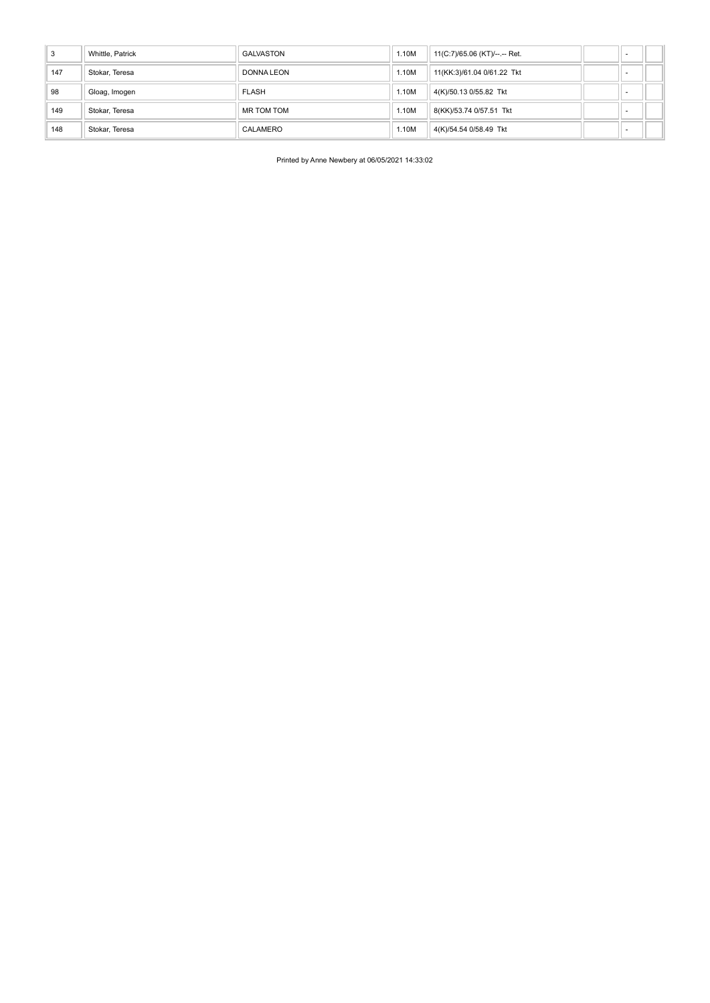|     | Whittle, Patrick | <b>GALVASTON</b> | 1.10M | 11(C:7)/65.06 (KT)/--.-- Ret. |  |  |
|-----|------------------|------------------|-------|-------------------------------|--|--|
| 147 | Stokar, Teresa   | DONNA LEON       | 1.10M | 11(KK:3)/61.04 0/61.22 Tkt    |  |  |
| 98  | Gloag, Imogen    | <b>FLASH</b>     | 1.10M | 4(K)/50.13 0/55.82 Tkt        |  |  |
| 149 | Stokar, Teresa   | MR TOM TOM       | 1.10M | 8(KK)/53.74 0/57.51 Tkt       |  |  |
| 148 | Stokar, Teresa   | CALAMERO         | 1.10M | 4(K)/54.54 0/58.49 Tkt        |  |  |

Printed by Anne Newbery at 06/05/2021 14:33:02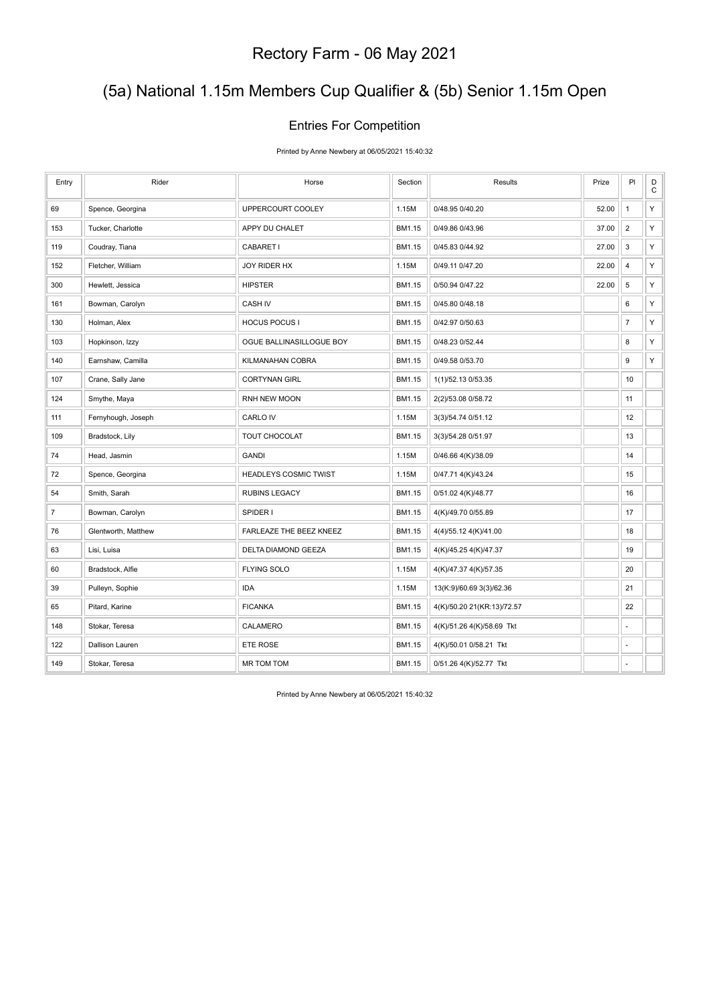## (5a) National 1.15m Members Cup Qualifier & (5b) Senior 1.15m Open

### Entries For Competition

Printed by Anne Newbery at 06/05/2021 15:40:32

| Entry          | Rider               | Horse                        | Section | <b>Results</b>             | Prize | PI             | D<br>$\mathbf C$ |
|----------------|---------------------|------------------------------|---------|----------------------------|-------|----------------|------------------|
| 69             | Spence, Georgina    | UPPERCOURT COOLEY            | 1.15M   | 0/48.95 0/40.20            | 52.00 | $\mathbf{1}$   | Y                |
| 153            | Tucker, Charlotte   | APPY DU CHALET               | BM1.15  | 0/49.86 0/43.96            | 37.00 | $\overline{2}$ | Υ                |
| 119            | Coudray, Tiana      | <b>CABARET1</b>              | BM1.15  | 0/45.83 0/44.92            | 27.00 | $\sqrt{3}$     | Υ                |
| 152            | Fletcher, William   | JOY RIDER HX                 | 1.15M   | 0/49.11 0/47.20            | 22.00 | $\overline{4}$ | Y                |
| 300            | Hewlett, Jessica    | <b>HIPSTER</b>               | BM1.15  | 0/50.94 0/47.22            | 22.00 | 5              | Υ                |
| 161            | Bowman, Carolyn     | <b>CASH IV</b>               | BM1.15  | 0/45.80 0/48.18            |       | 6              | Y                |
| 130            | Holman, Alex        | HOCUS POCUS I                | BM1.15  | 0/42.97 0/50.63            |       | $\overline{7}$ | Y                |
| 103            | Hopkinson, Izzy     | OGUE BALLINASILLOGUE BOY     | BM1.15  | 0/48.23 0/52.44            |       | 8              | Y                |
| 140            | Earnshaw, Camilla   | KILMANAHAN COBRA             | BM1.15  | 0/49.58 0/53.70            |       | 9              | Υ                |
| 107            | Crane, Sally Jane   | <b>CORTYNAN GIRL</b>         | BM1.15  | 1(1)/52.13 0/53.35         |       | 10             |                  |
| 124            | Smythe, Maya        | RNH NEW MOON                 | BM1.15  | 2(2)/53.08 0/58.72         |       | 11             |                  |
| 111            | Fernyhough, Joseph  | CARLO IV                     | 1.15M   | 3(3)/54.74 0/51.12         |       | 12             |                  |
| 109            | Bradstock, Lily     | TOUT CHOCOLAT                | BM1.15  | 3(3)/54.28 0/51.97         |       | 13             |                  |
| 74             | Head, Jasmin        | <b>GANDI</b>                 | 1.15M   | 0/46.66 4(K)/38.09         |       | 14             |                  |
| 72             | Spence, Georgina    | <b>HEADLEYS COSMIC TWIST</b> | 1.15M   | 0/47.71 4(K)/43.24         |       | 15             |                  |
| 54             | Smith, Sarah        | <b>RUBINS LEGACY</b>         | BM1.15  | 0/51.02 4(K)/48.77         |       | 16             |                  |
| $\overline{7}$ | Bowman, Carolyn     | SPIDER I                     | BM1.15  | 4(K)/49.70 0/55.89         |       | 17             |                  |
| 76             | Glentworth, Matthew | FARLEAZE THE BEEZ KNEEZ      | BM1.15  | 4(4)/55.12 4(K)/41.00      |       | 18             |                  |
| 63             | Lisi, Luisa         | DELTA DIAMOND GEEZA          | BM1.15  | 4(K)/45.25 4(K)/47.37      |       | 19             |                  |
| 60             | Bradstock, Alfie    | FLYING SOLO                  | 1.15M   | 4(K)/47.37 4(K)/57.35      |       | 20             |                  |
| 39             | Pulleyn, Sophie     | <b>IDA</b>                   | 1.15M   | 13(K:9)/60.69 3(3)/62.36   |       | 21             |                  |
| 65             | Pitard, Karine      | <b>FICANKA</b>               | BM1.15  | 4(K)/50.20 21(KR:13)/72.57 |       | 22             |                  |
| 148            | Stokar, Teresa      | CALAMERO                     | BM1.15  | 4(K)/51.26 4(K)/58.69 Tkt  |       | ä,             |                  |
| 122            | Dallison Lauren     | ETE ROSE                     | BM1.15  | 4(K)/50.01 0/58.21 Tkt     |       | ä,             |                  |
| 149            | Stokar, Teresa      | MR TOM TOM                   | BM1.15  | 0/51.26 4(K)/52.77 Tkt     |       | Ĭ.             |                  |

Printed by Anne Newbery at 06/05/2021 15:40:32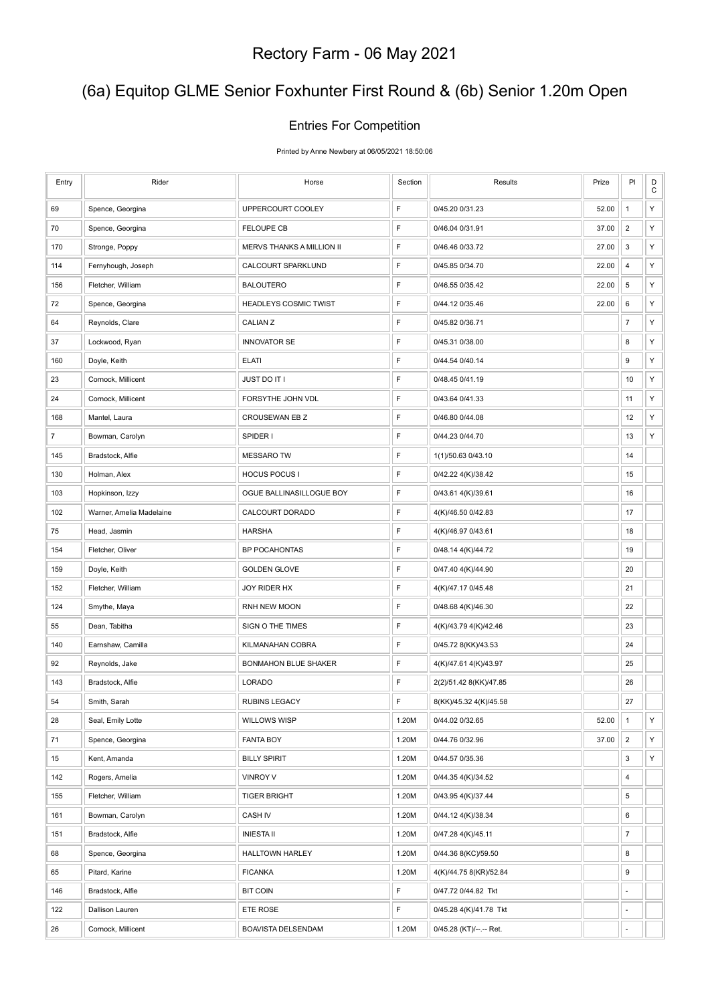# (6a) Equitop GLME Senior Foxhunter First Round & (6b) Senior 1.20m Open

### Entries For Competition

Printed by Anne Newbery at 06/05/2021 18:50:06

| Entry          | Rider                    | Horse                     | Section     | Results                 | Prize | PI                      | D<br>${\bf C}$ |
|----------------|--------------------------|---------------------------|-------------|-------------------------|-------|-------------------------|----------------|
| 69             | Spence, Georgina         | UPPERCOURT COOLEY         | $\mathsf F$ | 0/45.20 0/31.23         | 52.00 | $\mathbf{1}$            | Y              |
| 70             | Spence, Georgina         | FELOUPE CB                | $\mathsf F$ | 0/46.04 0/31.91         | 37.00 | $\overline{2}$          | Y              |
| 170            | Stronge, Poppy           | MERVS THANKS A MILLION II | $\mathsf F$ | 0/46.46 0/33.72         | 27.00 | 3                       | Y              |
| 114            | Fernyhough, Joseph       | CALCOURT SPARKLUND        | $\mathsf F$ | 0/45.85 0/34.70         | 22.00 | $\overline{\mathbf{4}}$ | Y.             |
| 156            | Fletcher, William        | <b>BALOUTERO</b>          | F           | 0/46.55 0/35.42         | 22.00 | $\sqrt{5}$              | Y              |
| 72             | Spence, Georgina         | HEADLEYS COSMIC TWIST     | $\mathsf F$ | 0/44.12 0/35.46         | 22.00 | 6                       | Y              |
| 64             | Reynolds, Clare          | CALIAN Z                  | $\mathsf F$ | 0/45.82 0/36.71         |       | $\overline{7}$          | Y.             |
| 37             | Lockwood, Ryan           | <b>INNOVATOR SE</b>       | $\mathsf F$ | 0/45.31 0/38.00         |       | 8                       | Y              |
| 160            | Doyle, Keith             | <b>ELATI</b>              | $\mathsf F$ | 0/44.54 0/40.14         |       | 9                       | Y              |
| 23             | Cornock, Millicent       | <b>JUST DO IT I</b>       | F           | 0/48.45 0/41.19         |       | 10                      | Y              |
| 24             | Cornock, Millicent       | FORSYTHE JOHN VDL         | $\mathsf F$ | 0/43.64 0/41.33         |       | 11                      | Y              |
| 168            | Mantel, Laura            | CROUSEWAN EB Z            | $\mathsf F$ | 0/46.80 0/44.08         |       | 12                      | Y              |
| $\overline{7}$ | Bowman, Carolyn          | SPIDER I                  | $\mathsf F$ | 0/44.23 0/44.70         |       | 13                      | Y              |
| 145            | Bradstock, Alfie         | <b>MESSARO TW</b>         | $\mathsf F$ | 1(1)/50.63 0/43.10      |       | 14                      |                |
| 130            | Holman, Alex             | HOCUS POCUS I             | F           | 0/42.22 4(K)/38.42      |       | 15                      |                |
| 103            | Hopkinson, Izzy          | OGUE BALLINASILLOGUE BOY  | $\mathsf F$ | 0/43.61 4(K)/39.61      |       | 16                      |                |
| 102            | Warner, Amelia Madelaine | CALCOURT DORADO           | $\mathsf F$ | 4(K)/46.50 0/42.83      |       | 17                      |                |
| 75             | Head, Jasmin             | <b>HARSHA</b>             | $\mathsf F$ | 4(K)/46.97 0/43.61      |       | 18                      |                |
| 154            | Fletcher, Oliver         | <b>BP POCAHONTAS</b>      | $\mathsf F$ | 0/48.14 4(K)/44.72      |       | 19                      |                |
| 159            | Doyle, Keith             | <b>GOLDEN GLOVE</b>       | $\mathsf F$ | 0/47.40 4(K)/44.90      |       | 20                      |                |
| 152            | Fletcher, William        | JOY RIDER HX              | $\mathsf F$ | 4(K)/47.17 0/45.48      |       | 21                      |                |
| 124            | Smythe, Maya             | RNH NEW MOON              | $\mathsf F$ | 0/48.68 4(K)/46.30      |       | 22                      |                |
| 55             | Dean, Tabitha            | SIGN O THE TIMES          | $\mathsf F$ | 4(K)/43.79 4(K)/42.46   |       | 23                      |                |
| 140            | Earnshaw, Camilla        | KILMANAHAN COBRA          | $\mathsf F$ | 0/45.72 8(KK)/43.53     |       | 24                      |                |
| 92             | Reynolds, Jake           | BONMAHON BLUE SHAKER      | F           | 4(K)/47.61 4(K)/43.97   |       | 25                      |                |
| 143            | Bradstock, Alfie         | <b>LORADO</b>             | F           | 2(2)/51.42 8(KK)/47.85  |       | 26                      |                |
| 54             | Smith, Sarah             | RUBINS LEGACY             | F           | 8(KK)/45.32 4(K)/45.58  |       | 27                      |                |
| 28             | Seal, Emily Lotte        | WILLOWS WISP              | 1.20M       | 0/44.02 0/32.65         | 52.00 | $\mathbf{1}$            | Y.             |
| 71             | Spence, Georgina         | <b>FANTA BOY</b>          | 1.20M       | 0/44.76 0/32.96         | 37.00 | $\sqrt{2}$              | Y.             |
| 15             | Kent, Amanda             | <b>BILLY SPIRIT</b>       | 1.20M       | 0/44.57 0/35.36         |       | 3                       | Y              |
| 142            | Rogers, Amelia           | <b>VINROY V</b>           | 1.20M       | 0/44.35 4(K)/34.52      |       | 4                       |                |
| 155            | Fletcher, William        | <b>TIGER BRIGHT</b>       | 1.20M       | 0/43.95 4(K)/37.44      |       | 5                       |                |
| 161            | Bowman, Carolyn          | CASH IV                   | 1.20M       | 0/44.12 4(K)/38.34      |       | 6                       |                |
| 151            | Bradstock, Alfie         | <b>INIESTA II</b>         | 1.20M       | 0/47.28 4(K)/45.11      |       | $\overline{7}$          |                |
| 68             | Spence, Georgina         | <b>HALLTOWN HARLEY</b>    | 1.20M       | 0/44.36 8(KC)/59.50     |       | 8                       |                |
| 65             | Pitard, Karine           | <b>FICANKA</b>            | 1.20M       | 4(K)/44.75 8(KR)/52.84  |       | 9                       |                |
| 146            | Bradstock, Alfie         | <b>BIT COIN</b>           | F           | 0/47.72 0/44.82 Tkt     |       |                         |                |
| 122            | Dallison Lauren          | ETE ROSE                  | F           | 0/45.28 4(K)/41.78 Tkt  |       |                         |                |
| 26             | Cornock, Millicent       | BOAVISTA DELSENDAM        | 1.20M       | 0/45.28 (KT)/--.-- Ret. |       |                         |                |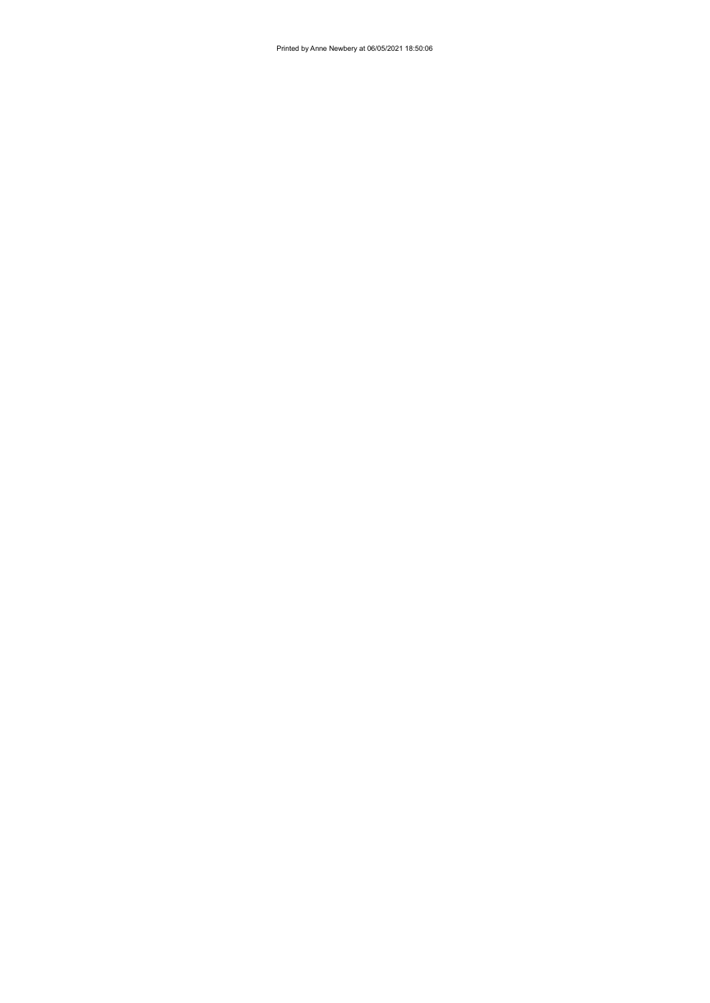Printed by Anne Newbery at 06/05/2021 18:50:06